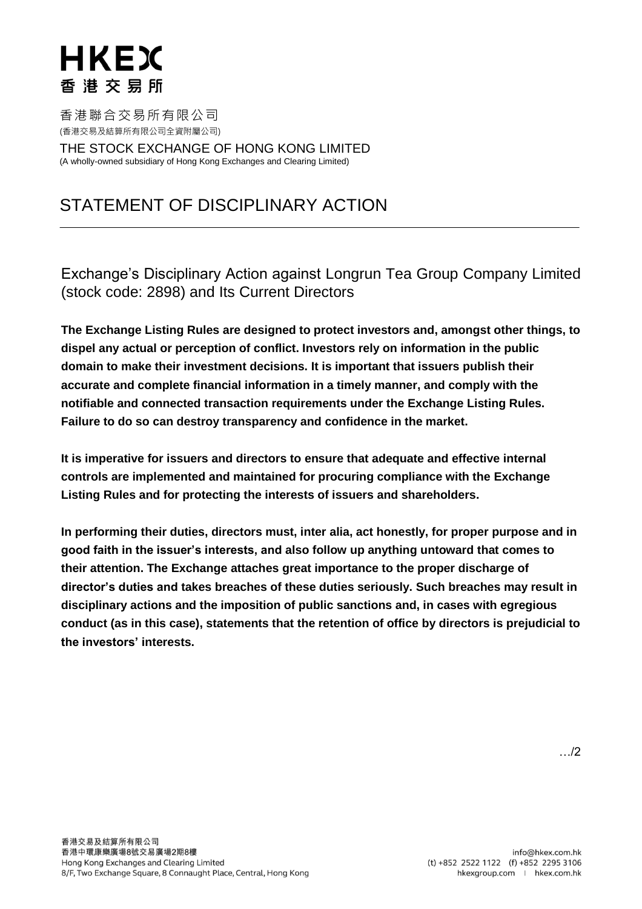香港聯合交易所有限公司 (香港交易及結算所有限公司全資附屬公司)

THE STOCK EXCHANGE OF HONG KONG LIMITED (A wholly-owned subsidiary of Hong Kong Exchanges and Clearing Limited)

### STATEMENT OF DISCIPLINARY ACTION

Exchange's Disciplinary Action against Longrun Tea Group Company Limited (stock code: 2898) and Its Current Directors

**The Exchange Listing Rules are designed to protect investors and, amongst other things, to dispel any actual or perception of conflict. Investors rely on information in the public domain to make their investment decisions. It is important that issuers publish their accurate and complete financial information in a timely manner, and comply with the notifiable and connected transaction requirements under the Exchange Listing Rules. Failure to do so can destroy transparency and confidence in the market.**

**It is imperative for issuers and directors to ensure that adequate and effective internal controls are implemented and maintained for procuring compliance with the Exchange Listing Rules and for protecting the interests of issuers and shareholders.** 

**In performing their duties, directors must, inter alia, act honestly, for proper purpose and in good faith in the issuer's interests, and also follow up anything untoward that comes to their attention. The Exchange attaches great importance to the proper discharge of director's duties and takes breaches of these duties seriously. Such breaches may result in disciplinary actions and the imposition of public sanctions and, in cases with egregious conduct (as in this case), statements that the retention of office by directors is prejudicial to the investors' interests.**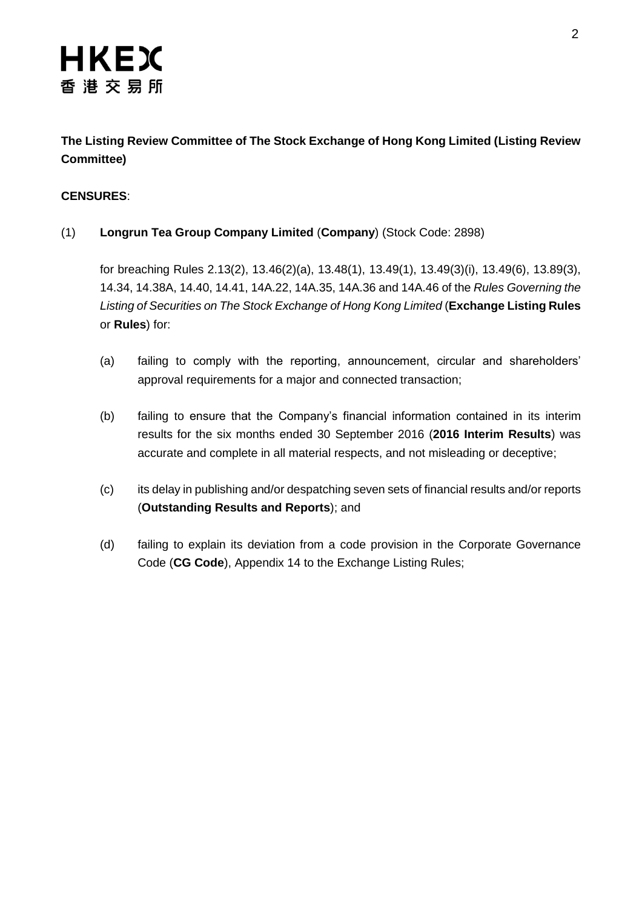### **The Listing Review Committee of The Stock Exchange of Hong Kong Limited (Listing Review Committee)**

### **CENSURES**:

### (1) **Longrun Tea Group Company Limited** (**Company**) (Stock Code: 2898)

for breaching Rules 2.13(2), 13.46(2)(a), 13.48(1), 13.49(1), 13.49(3)(i), 13.49(6), 13.89(3), 14.34, 14.38A, 14.40, 14.41, 14A.22, 14A.35, 14A.36 and 14A.46 of the *Rules Governing the Listing of Securities on The Stock Exchange of Hong Kong Limited* (**Exchange Listing Rules** or **Rules**) for:

- (a) failing to comply with the reporting, announcement, circular and shareholders' approval requirements for a major and connected transaction;
- (b) failing to ensure that the Company's financial information contained in its interim results for the six months ended 30 September 2016 (**2016 Interim Results**) was accurate and complete in all material respects, and not misleading or deceptive;
- (c) its delay in publishing and/or despatching seven sets of financial results and/or reports (**Outstanding Results and Reports**); and
- (d) failing to explain its deviation from a code provision in the Corporate Governance Code (**CG Code**), Appendix 14 to the Exchange Listing Rules;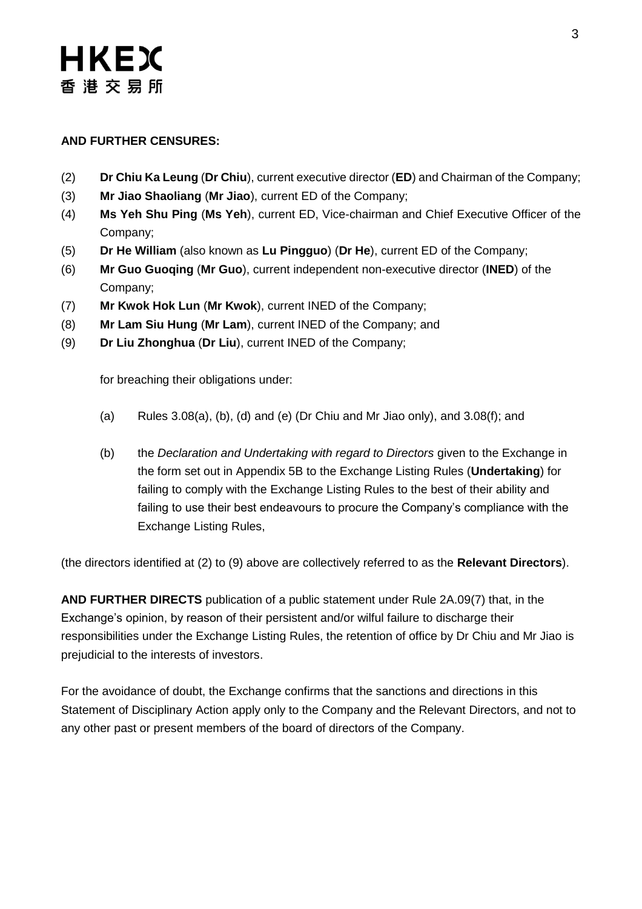### **AND FURTHER CENSURES:**

- (2) **Dr Chiu Ka Leung** (**Dr Chiu**), current executive director (**ED**) and Chairman of the Company;
- (3) **Mr Jiao Shaoliang** (**Mr Jiao**), current ED of the Company;
- (4) **Ms Yeh Shu Ping** (**Ms Yeh**), current ED, Vice-chairman and Chief Executive Officer of the Company;
- (5) **Dr He William** (also known as **Lu Pingguo**) (**Dr He**), current ED of the Company;
- (6) **Mr Guo Guoqing** (**Mr Guo**), current independent non-executive director (**INED**) of the Company;
- (7) **Mr Kwok Hok Lun** (**Mr Kwok**), current INED of the Company;
- (8) **Mr Lam Siu Hung** (**Mr Lam**), current INED of the Company; and
- (9) **Dr Liu Zhonghua** (**Dr Liu**), current INED of the Company;

for breaching their obligations under:

- (a) Rules 3.08(a), (b), (d) and (e) (Dr Chiu and Mr Jiao only), and  $3.08(f)$ ; and
- (b) the *Declaration and Undertaking with regard to Directors* given to the Exchange in the form set out in Appendix 5B to the Exchange Listing Rules (**Undertaking**) for failing to comply with the Exchange Listing Rules to the best of their ability and failing to use their best endeavours to procure the Company's compliance with the Exchange Listing Rules,

(the directors identified at (2) to (9) above are collectively referred to as the **Relevant Directors**).

**AND FURTHER DIRECTS** publication of a public statement under Rule 2A.09(7) that, in the Exchange's opinion, by reason of their persistent and/or wilful failure to discharge their responsibilities under the Exchange Listing Rules, the retention of office by Dr Chiu and Mr Jiao is prejudicial to the interests of investors.

For the avoidance of doubt, the Exchange confirms that the sanctions and directions in this Statement of Disciplinary Action apply only to the Company and the Relevant Directors, and not to any other past or present members of the board of directors of the Company.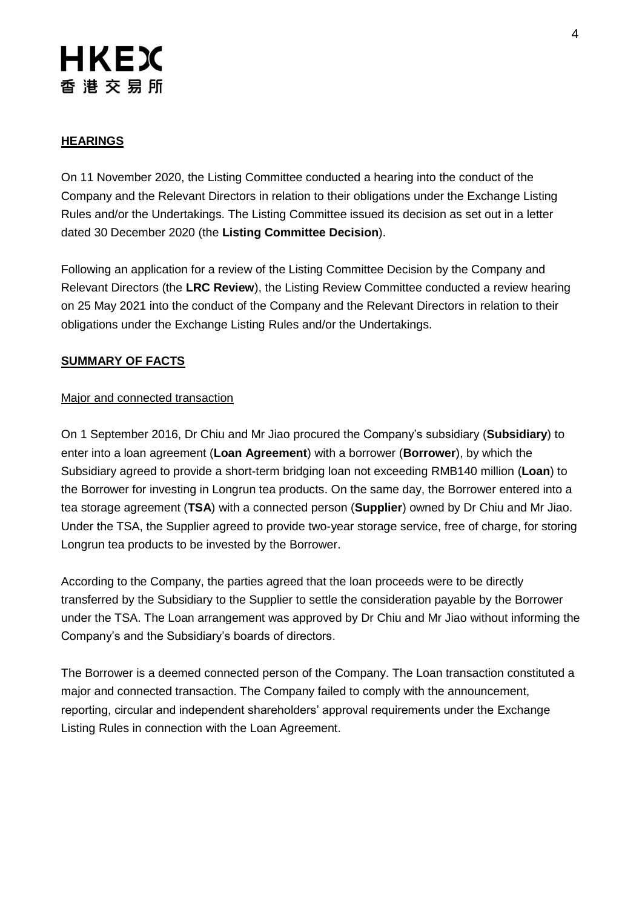### **HEARINGS**

On 11 November 2020, the Listing Committee conducted a hearing into the conduct of the Company and the Relevant Directors in relation to their obligations under the Exchange Listing Rules and/or the Undertakings. The Listing Committee issued its decision as set out in a letter dated 30 December 2020 (the **Listing Committee Decision**).

Following an application for a review of the Listing Committee Decision by the Company and Relevant Directors (the **LRC Review**), the Listing Review Committee conducted a review hearing on 25 May 2021 into the conduct of the Company and the Relevant Directors in relation to their obligations under the Exchange Listing Rules and/or the Undertakings.

#### **SUMMARY OF FACTS**

#### Major and connected transaction

On 1 September 2016, Dr Chiu and Mr Jiao procured the Company's subsidiary (**Subsidiary**) to enter into a loan agreement (**Loan Agreement**) with a borrower (**Borrower**), by which the Subsidiary agreed to provide a short-term bridging loan not exceeding RMB140 million (**Loan**) to the Borrower for investing in Longrun tea products. On the same day, the Borrower entered into a tea storage agreement (**TSA**) with a connected person (**Supplier**) owned by Dr Chiu and Mr Jiao. Under the TSA, the Supplier agreed to provide two-year storage service, free of charge, for storing Longrun tea products to be invested by the Borrower.

According to the Company, the parties agreed that the loan proceeds were to be directly transferred by the Subsidiary to the Supplier to settle the consideration payable by the Borrower under the TSA. The Loan arrangement was approved by Dr Chiu and Mr Jiao without informing the Company's and the Subsidiary's boards of directors.

The Borrower is a deemed connected person of the Company. The Loan transaction constituted a major and connected transaction. The Company failed to comply with the announcement, reporting, circular and independent shareholders' approval requirements under the Exchange Listing Rules in connection with the Loan Agreement.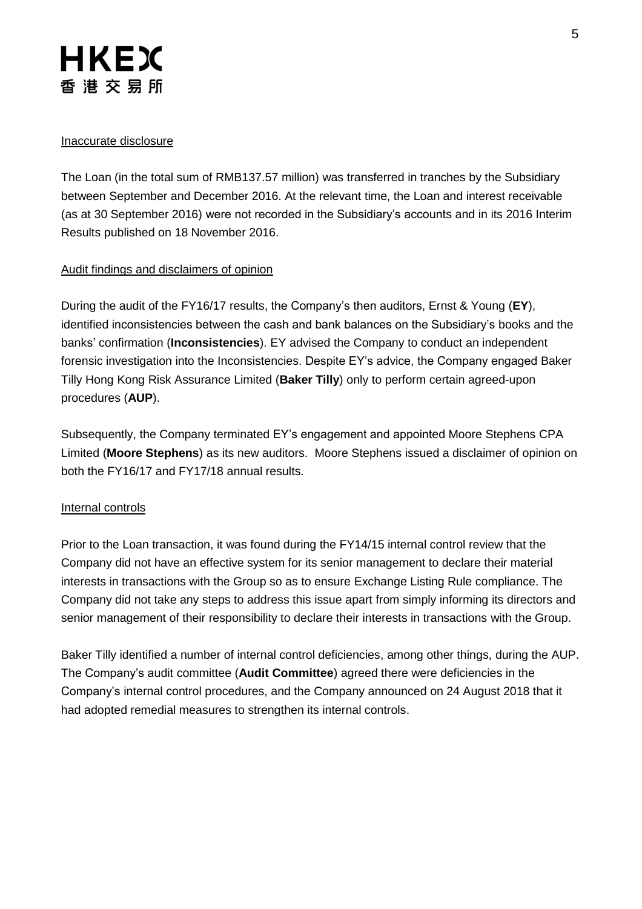#### Inaccurate disclosure

The Loan (in the total sum of RMB137.57 million) was transferred in tranches by the Subsidiary between September and December 2016. At the relevant time, the Loan and interest receivable (as at 30 September 2016) were not recorded in the Subsidiary's accounts and in its 2016 Interim Results published on 18 November 2016.

#### Audit findings and disclaimers of opinion

During the audit of the FY16/17 results, the Company's then auditors, Ernst & Young (**EY**), identified inconsistencies between the cash and bank balances on the Subsidiary's books and the banks' confirmation (**Inconsistencies**). EY advised the Company to conduct an independent forensic investigation into the Inconsistencies. Despite EY's advice, the Company engaged Baker Tilly Hong Kong Risk Assurance Limited (**Baker Tilly**) only to perform certain agreed-upon procedures (**AUP**).

Subsequently, the Company terminated EY's engagement and appointed Moore Stephens CPA Limited (**Moore Stephens**) as its new auditors. Moore Stephens issued a disclaimer of opinion on both the FY16/17 and FY17/18 annual results.

#### Internal controls

Prior to the Loan transaction, it was found during the FY14/15 internal control review that the Company did not have an effective system for its senior management to declare their material interests in transactions with the Group so as to ensure Exchange Listing Rule compliance. The Company did not take any steps to address this issue apart from simply informing its directors and senior management of their responsibility to declare their interests in transactions with the Group.

Baker Tilly identified a number of internal control deficiencies, among other things, during the AUP. The Company's audit committee (**Audit Committee**) agreed there were deficiencies in the Company's internal control procedures, and the Company announced on 24 August 2018 that it had adopted remedial measures to strengthen its internal controls.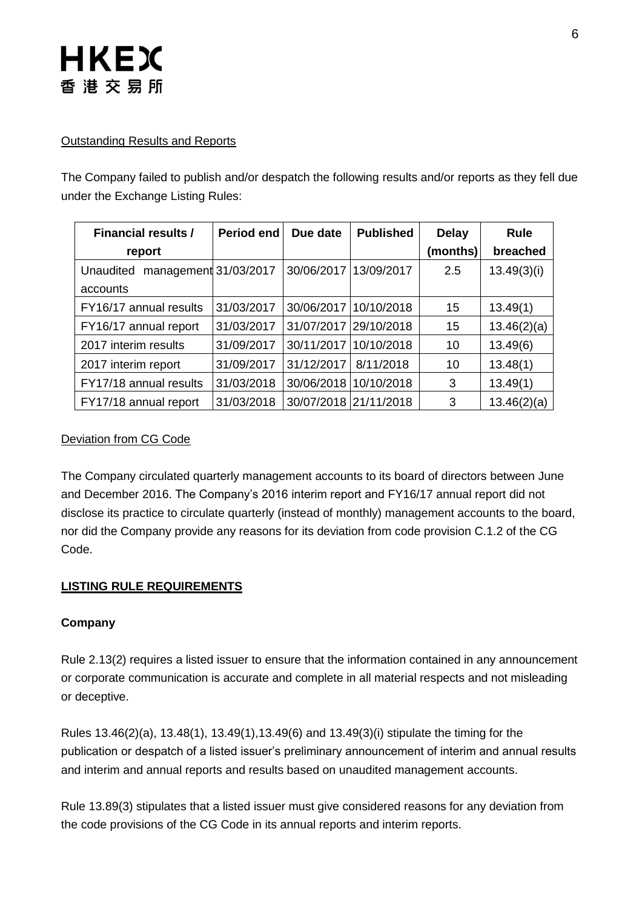#### Outstanding Results and Reports

The Company failed to publish and/or despatch the following results and/or reports as they fell due under the Exchange Listing Rules:

| <b>Financial results /</b>         | <b>Period end</b> | Due date              | <b>Published</b> | <b>Delay</b> | <b>Rule</b> |
|------------------------------------|-------------------|-----------------------|------------------|--------------|-------------|
| report                             |                   |                       |                  | (months)     | breached    |
| management 31/03/2017<br>Unaudited |                   | 30/06/2017            | 13/09/2017       | 2.5          | 13.49(3)(i) |
| accounts                           |                   |                       |                  |              |             |
| FY16/17 annual results             | 31/03/2017        | 30/06/2017            | 10/10/2018       | 15           | 13.49(1)    |
| FY16/17 annual report              | 31/03/2017        | 31/07/2017            | 29/10/2018       | 15           | 13.46(2)(a) |
| 2017 interim results               | 31/09/2017        | 30/11/2017            | 10/10/2018       | 10           | 13.49(6)    |
| 2017 interim report                | 31/09/2017        | 31/12/2017            | 8/11/2018        | 10           | 13.48(1)    |
| FY17/18 annual results             | 31/03/2018        | 30/06/2018 10/10/2018 |                  | 3            | 13.49(1)    |
| FY17/18 annual report              | 31/03/2018        | 30/07/2018 21/11/2018 |                  | 3            | 13.46(2)(a) |

### Deviation from CG Code

The Company circulated quarterly management accounts to its board of directors between June and December 2016. The Company's 2016 interim report and FY16/17 annual report did not disclose its practice to circulate quarterly (instead of monthly) management accounts to the board, nor did the Company provide any reasons for its deviation from code provision C.1.2 of the CG Code.

### **LISTING RULE REQUIREMENTS**

#### **Company**

Rule 2.13(2) requires a listed issuer to ensure that the information contained in any announcement or corporate communication is accurate and complete in all material respects and not misleading or deceptive.

Rules 13.46(2)(a), 13.48(1), 13.49(1),13.49(6) and 13.49(3)(i) stipulate the timing for the publication or despatch of a listed issuer's preliminary announcement of interim and annual results and interim and annual reports and results based on unaudited management accounts.

Rule 13.89(3) stipulates that a listed issuer must give considered reasons for any deviation from the code provisions of the CG Code in its annual reports and interim reports.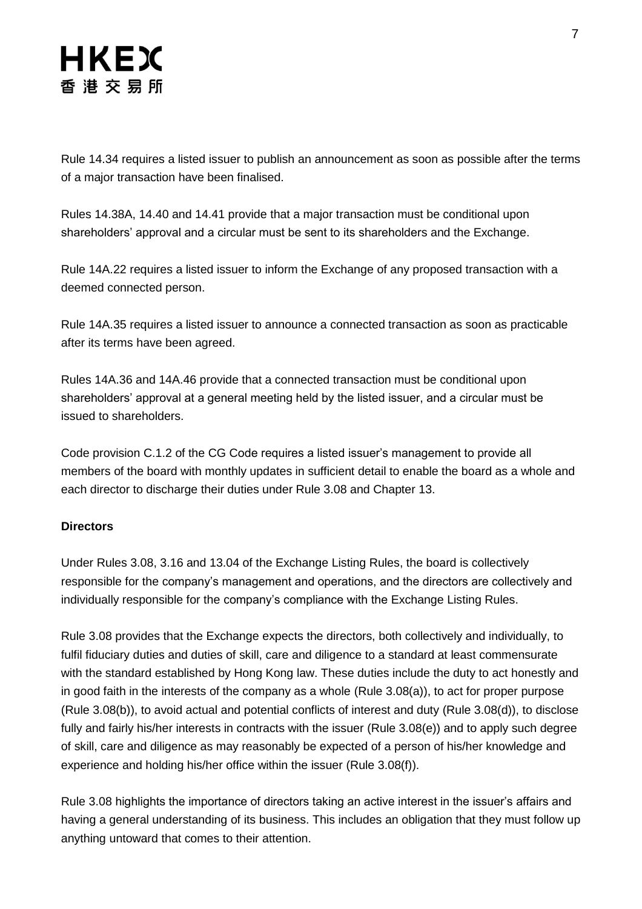Rule 14.34 requires a listed issuer to publish an announcement as soon as possible after the terms of a major transaction have been finalised.

Rules 14.38A, 14.40 and 14.41 provide that a major transaction must be conditional upon shareholders' approval and a circular must be sent to its shareholders and the Exchange.

Rule 14A.22 requires a listed issuer to inform the Exchange of any proposed transaction with a deemed connected person.

Rule 14A.35 requires a listed issuer to announce a connected transaction as soon as practicable after its terms have been agreed.

Rules 14A.36 and 14A.46 provide that a connected transaction must be conditional upon shareholders' approval at a general meeting held by the listed issuer, and a circular must be issued to shareholders.

Code provision C.1.2 of the CG Code requires a listed issuer's management to provide all members of the board with monthly updates in sufficient detail to enable the board as a whole and each director to discharge their duties under Rule 3.08 and Chapter 13.

### **Directors**

Under Rules 3.08, 3.16 and 13.04 of the Exchange Listing Rules, the board is collectively responsible for the company's management and operations, and the directors are collectively and individually responsible for the company's compliance with the Exchange Listing Rules.

Rule 3.08 provides that the Exchange expects the directors, both collectively and individually, to fulfil fiduciary duties and duties of skill, care and diligence to a standard at least commensurate with the standard established by Hong Kong law. These duties include the duty to act honestly and in good faith in the interests of the company as a whole (Rule 3.08(a)), to act for proper purpose (Rule 3.08(b)), to avoid actual and potential conflicts of interest and duty (Rule 3.08(d)), to disclose fully and fairly his/her interests in contracts with the issuer (Rule 3.08(e)) and to apply such degree of skill, care and diligence as may reasonably be expected of a person of his/her knowledge and experience and holding his/her office within the issuer (Rule 3.08(f)).

Rule 3.08 highlights the importance of directors taking an active interest in the issuer's affairs and having a general understanding of its business. This includes an obligation that they must follow up anything untoward that comes to their attention.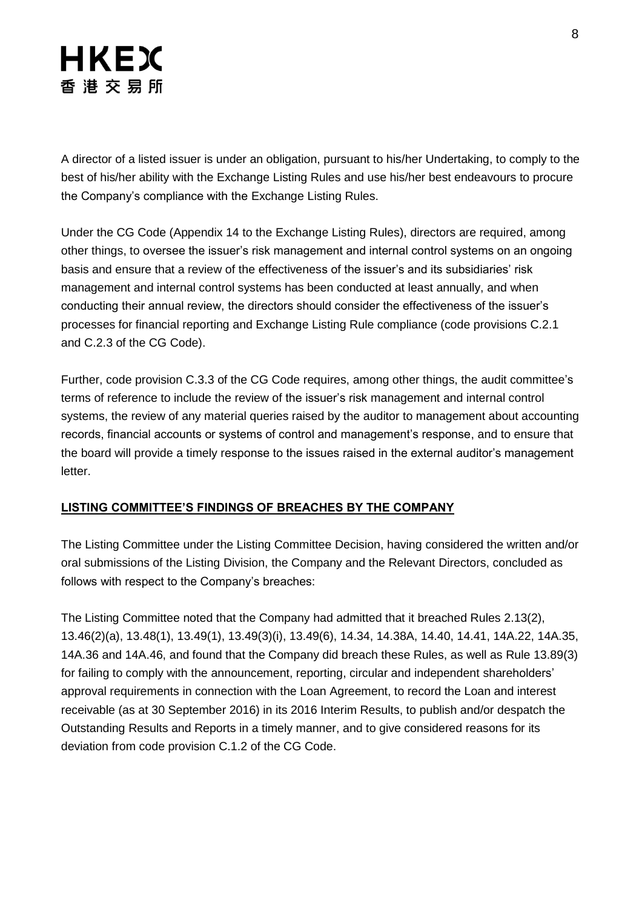A director of a listed issuer is under an obligation, pursuant to his/her Undertaking, to comply to the best of his/her ability with the Exchange Listing Rules and use his/her best endeavours to procure the Company's compliance with the Exchange Listing Rules.

Under the CG Code (Appendix 14 to the Exchange Listing Rules), directors are required, among other things, to oversee the issuer's risk management and internal control systems on an ongoing basis and ensure that a review of the effectiveness of the issuer's and its subsidiaries' risk management and internal control systems has been conducted at least annually, and when conducting their annual review, the directors should consider the effectiveness of the issuer's processes for financial reporting and Exchange Listing Rule compliance (code provisions C.2.1 and C.2.3 of the CG Code).

Further, code provision C.3.3 of the CG Code requires, among other things, the audit committee's terms of reference to include the review of the issuer's risk management and internal control systems, the review of any material queries raised by the auditor to management about accounting records, financial accounts or systems of control and management's response, and to ensure that the board will provide a timely response to the issues raised in the external auditor's management letter.

### **LISTING COMMITTEE'S FINDINGS OF BREACHES BY THE COMPANY**

The Listing Committee under the Listing Committee Decision, having considered the written and/or oral submissions of the Listing Division, the Company and the Relevant Directors, concluded as follows with respect to the Company's breaches:

The Listing Committee noted that the Company had admitted that it breached Rules 2.13(2), 13.46(2)(a), 13.48(1), 13.49(1), 13.49(3)(i), 13.49(6), 14.34, 14.38A, 14.40, 14.41, 14A.22, 14A.35, 14A.36 and 14A.46, and found that the Company did breach these Rules, as well as Rule 13.89(3) for failing to comply with the announcement, reporting, circular and independent shareholders' approval requirements in connection with the Loan Agreement, to record the Loan and interest receivable (as at 30 September 2016) in its 2016 Interim Results, to publish and/or despatch the Outstanding Results and Reports in a timely manner, and to give considered reasons for its deviation from code provision C.1.2 of the CG Code.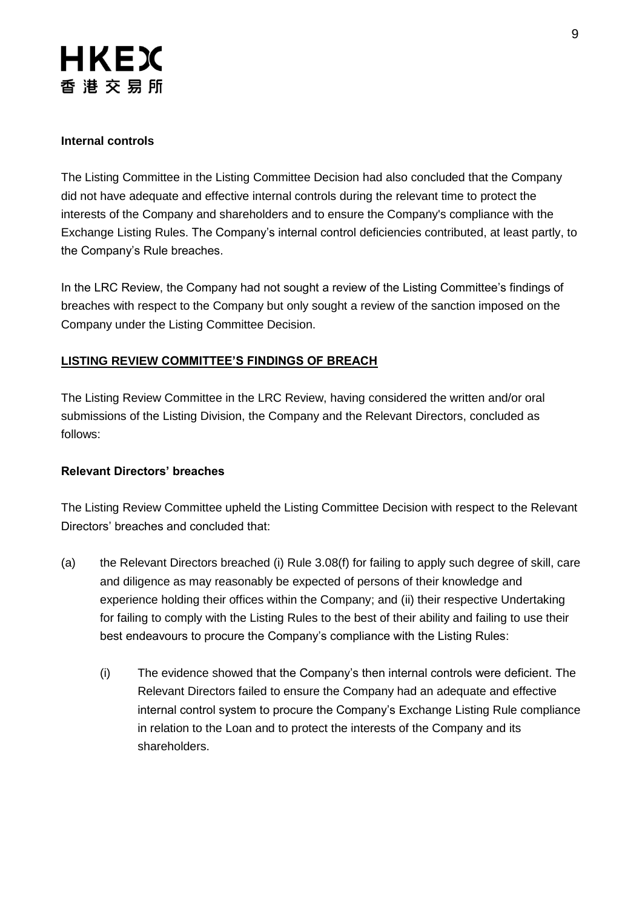### **Internal controls**

The Listing Committee in the Listing Committee Decision had also concluded that the Company did not have adequate and effective internal controls during the relevant time to protect the interests of the Company and shareholders and to ensure the Company's compliance with the Exchange Listing Rules. The Company's internal control deficiencies contributed, at least partly, to the Company's Rule breaches.

In the LRC Review, the Company had not sought a review of the Listing Committee's findings of breaches with respect to the Company but only sought a review of the sanction imposed on the Company under the Listing Committee Decision.

### **LISTING REVIEW COMMITTEE'S FINDINGS OF BREACH**

The Listing Review Committee in the LRC Review, having considered the written and/or oral submissions of the Listing Division, the Company and the Relevant Directors, concluded as follows:

#### **Relevant Directors' breaches**

The Listing Review Committee upheld the Listing Committee Decision with respect to the Relevant Directors' breaches and concluded that:

- (a) the Relevant Directors breached (i) Rule 3.08(f) for failing to apply such degree of skill, care and diligence as may reasonably be expected of persons of their knowledge and experience holding their offices within the Company; and (ii) their respective Undertaking for failing to comply with the Listing Rules to the best of their ability and failing to use their best endeavours to procure the Company's compliance with the Listing Rules:
	- (i) The evidence showed that the Company's then internal controls were deficient. The Relevant Directors failed to ensure the Company had an adequate and effective internal control system to procure the Company's Exchange Listing Rule compliance in relation to the Loan and to protect the interests of the Company and its shareholders.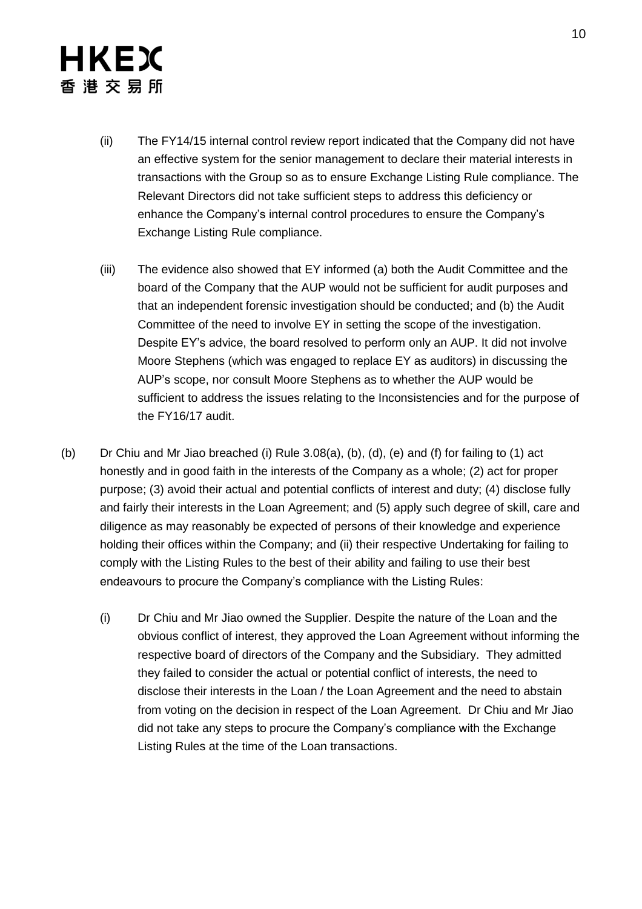# **HKEX** 香 港 交 易 所

- (ii) The FY14/15 internal control review report indicated that the Company did not have an effective system for the senior management to declare their material interests in transactions with the Group so as to ensure Exchange Listing Rule compliance. The Relevant Directors did not take sufficient steps to address this deficiency or enhance the Company's internal control procedures to ensure the Company's Exchange Listing Rule compliance.
- (iii) The evidence also showed that EY informed (a) both the Audit Committee and the board of the Company that the AUP would not be sufficient for audit purposes and that an independent forensic investigation should be conducted; and (b) the Audit Committee of the need to involve EY in setting the scope of the investigation. Despite EY's advice, the board resolved to perform only an AUP. It did not involve Moore Stephens (which was engaged to replace EY as auditors) in discussing the AUP's scope, nor consult Moore Stephens as to whether the AUP would be sufficient to address the issues relating to the Inconsistencies and for the purpose of the FY16/17 audit.
- (b) Dr Chiu and Mr Jiao breached (i) Rule 3.08(a), (b), (d), (e) and (f) for failing to (1) act honestly and in good faith in the interests of the Company as a whole; (2) act for proper purpose; (3) avoid their actual and potential conflicts of interest and duty; (4) disclose fully and fairly their interests in the Loan Agreement; and (5) apply such degree of skill, care and diligence as may reasonably be expected of persons of their knowledge and experience holding their offices within the Company; and (ii) their respective Undertaking for failing to comply with the Listing Rules to the best of their ability and failing to use their best endeavours to procure the Company's compliance with the Listing Rules:
	- (i) Dr Chiu and Mr Jiao owned the Supplier. Despite the nature of the Loan and the obvious conflict of interest, they approved the Loan Agreement without informing the respective board of directors of the Company and the Subsidiary. They admitted they failed to consider the actual or potential conflict of interests, the need to disclose their interests in the Loan / the Loan Agreement and the need to abstain from voting on the decision in respect of the Loan Agreement. Dr Chiu and Mr Jiao did not take any steps to procure the Company's compliance with the Exchange Listing Rules at the time of the Loan transactions.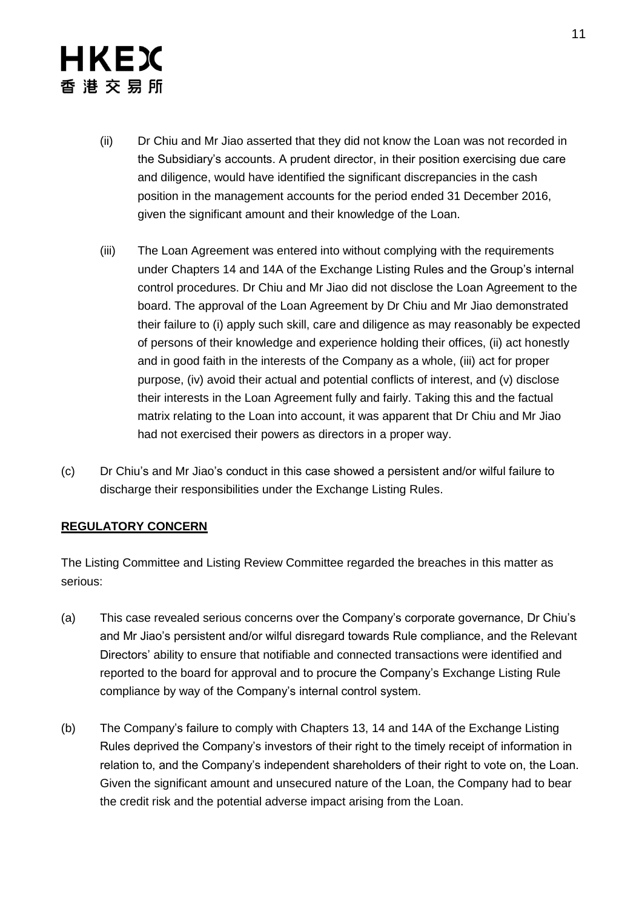- (ii) Dr Chiu and Mr Jiao asserted that they did not know the Loan was not recorded in the Subsidiary's accounts. A prudent director, in their position exercising due care and diligence, would have identified the significant discrepancies in the cash position in the management accounts for the period ended 31 December 2016, given the significant amount and their knowledge of the Loan.
- (iii) The Loan Agreement was entered into without complying with the requirements under Chapters 14 and 14A of the Exchange Listing Rules and the Group's internal control procedures. Dr Chiu and Mr Jiao did not disclose the Loan Agreement to the board. The approval of the Loan Agreement by Dr Chiu and Mr Jiao demonstrated their failure to (i) apply such skill, care and diligence as may reasonably be expected of persons of their knowledge and experience holding their offices, (ii) act honestly and in good faith in the interests of the Company as a whole, (iii) act for proper purpose, (iv) avoid their actual and potential conflicts of interest, and (v) disclose their interests in the Loan Agreement fully and fairly. Taking this and the factual matrix relating to the Loan into account, it was apparent that Dr Chiu and Mr Jiao had not exercised their powers as directors in a proper way.
- (c) Dr Chiu's and Mr Jiao's conduct in this case showed a persistent and/or wilful failure to discharge their responsibilities under the Exchange Listing Rules.

### **REGULATORY CONCERN**

The Listing Committee and Listing Review Committee regarded the breaches in this matter as serious:

- (a) This case revealed serious concerns over the Company's corporate governance, Dr Chiu's and Mr Jiao's persistent and/or wilful disregard towards Rule compliance, and the Relevant Directors' ability to ensure that notifiable and connected transactions were identified and reported to the board for approval and to procure the Company's Exchange Listing Rule compliance by way of the Company's internal control system.
- (b) The Company's failure to comply with Chapters 13, 14 and 14A of the Exchange Listing Rules deprived the Company's investors of their right to the timely receipt of information in relation to, and the Company's independent shareholders of their right to vote on, the Loan. Given the significant amount and unsecured nature of the Loan, the Company had to bear the credit risk and the potential adverse impact arising from the Loan.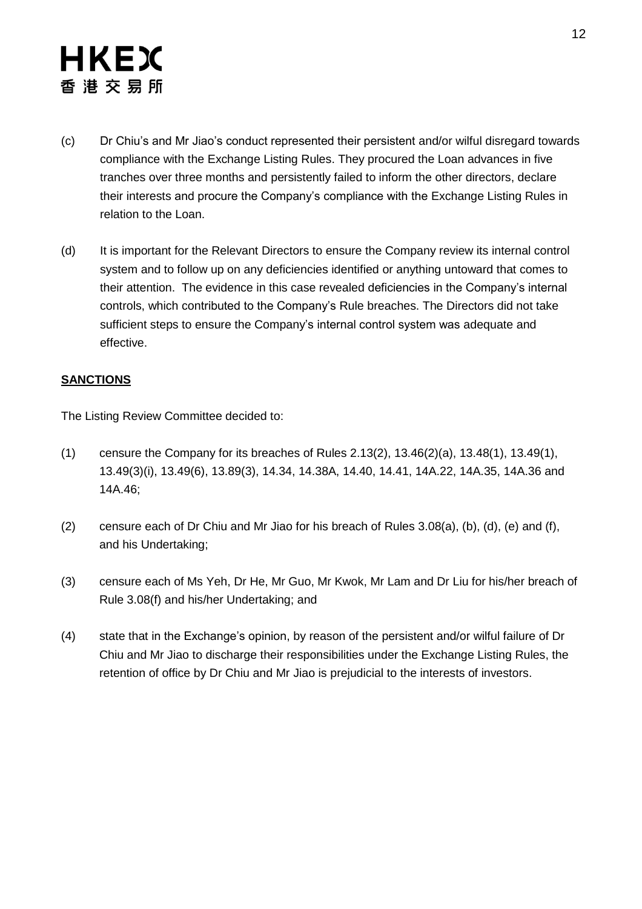- (c) Dr Chiu's and Mr Jiao's conduct represented their persistent and/or wilful disregard towards compliance with the Exchange Listing Rules. They procured the Loan advances in five tranches over three months and persistently failed to inform the other directors, declare their interests and procure the Company's compliance with the Exchange Listing Rules in relation to the Loan.
- (d) It is important for the Relevant Directors to ensure the Company review its internal control system and to follow up on any deficiencies identified or anything untoward that comes to their attention. The evidence in this case revealed deficiencies in the Company's internal controls, which contributed to the Company's Rule breaches. The Directors did not take sufficient steps to ensure the Company's internal control system was adequate and effective.

#### **SANCTIONS**

The Listing Review Committee decided to:

- (1) censure the Company for its breaches of Rules 2.13(2), 13.46(2)(a), 13.48(1), 13.49(1), 13.49(3)(i), 13.49(6), 13.89(3), 14.34, 14.38A, 14.40, 14.41, 14A.22, 14A.35, 14A.36 and 14A.46;
- (2) censure each of Dr Chiu and Mr Jiao for his breach of Rules  $3.08(a)$ , (b), (d), (e) and (f), and his Undertaking;
- (3) censure each of Ms Yeh, Dr He, Mr Guo, Mr Kwok, Mr Lam and Dr Liu for his/her breach of Rule 3.08(f) and his/her Undertaking; and
- (4) state that in the Exchange's opinion, by reason of the persistent and/or wilful failure of Dr Chiu and Mr Jiao to discharge their responsibilities under the Exchange Listing Rules, the retention of office by Dr Chiu and Mr Jiao is prejudicial to the interests of investors.